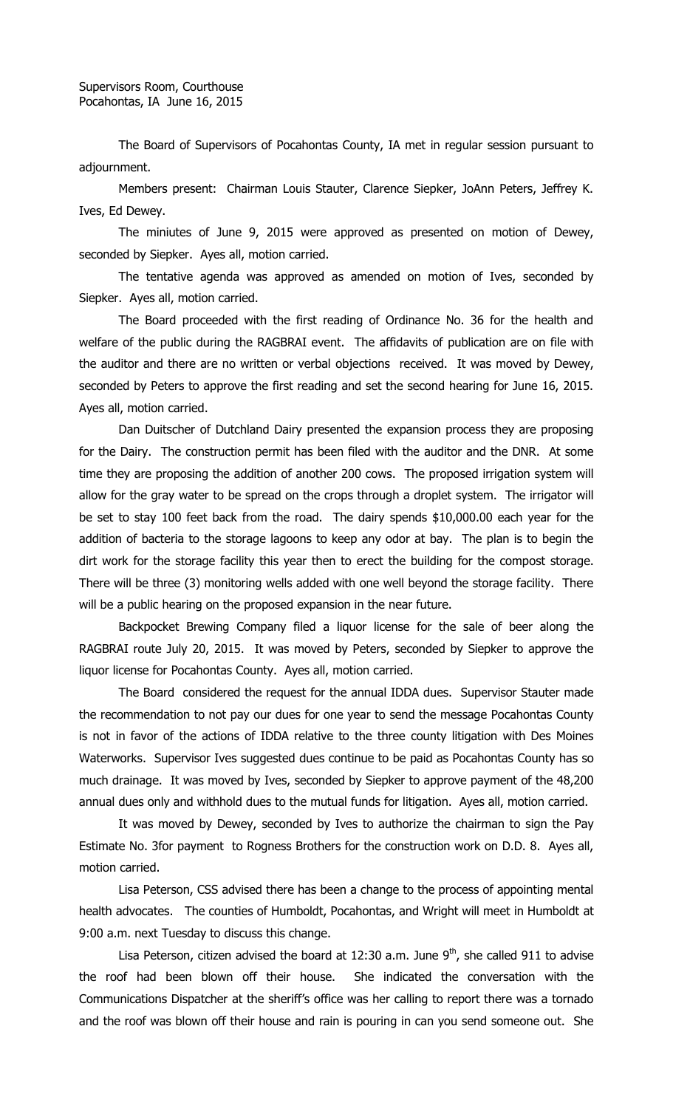The Board of Supervisors of Pocahontas County, IA met in regular session pursuant to adjournment.

Members present: Chairman Louis Stauter, Clarence Siepker, JoAnn Peters, Jeffrey K. Ives, Ed Dewey.

The miniutes of June 9, 2015 were approved as presented on motion of Dewey, seconded by Siepker. Ayes all, motion carried.

The tentative agenda was approved as amended on motion of Ives, seconded by Siepker. Ayes all, motion carried.

The Board proceeded with the first reading of Ordinance No. 36 for the health and welfare of the public during the RAGBRAI event. The affidavits of publication are on file with the auditor and there are no written or verbal objections received. It was moved by Dewey, seconded by Peters to approve the first reading and set the second hearing for June 16, 2015. Ayes all, motion carried.

Dan Duitscher of Dutchland Dairy presented the expansion process they are proposing for the Dairy. The construction permit has been filed with the auditor and the DNR. At some time they are proposing the addition of another 200 cows. The proposed irrigation system will allow for the gray water to be spread on the crops through a droplet system. The irrigator will be set to stay 100 feet back from the road. The dairy spends \$10,000.00 each year for the addition of bacteria to the storage lagoons to keep any odor at bay. The plan is to begin the dirt work for the storage facility this year then to erect the building for the compost storage. There will be three (3) monitoring wells added with one well beyond the storage facility. There will be a public hearing on the proposed expansion in the near future.

Backpocket Brewing Company filed a liquor license for the sale of beer along the RAGBRAI route July 20, 2015. It was moved by Peters, seconded by Siepker to approve the liquor license for Pocahontas County. Ayes all, motion carried.

The Board considered the request for the annual IDDA dues. Supervisor Stauter made the recommendation to not pay our dues for one year to send the message Pocahontas County is not in favor of the actions of IDDA relative to the three county litigation with Des Moines Waterworks. Supervisor Ives suggested dues continue to be paid as Pocahontas County has so much drainage. It was moved by Ives, seconded by Siepker to approve payment of the 48,200 annual dues only and withhold dues to the mutual funds for litigation. Ayes all, motion carried.

It was moved by Dewey, seconded by Ives to authorize the chairman to sign the Pay Estimate No. 3for payment to Rogness Brothers for the construction work on D.D. 8. Ayes all, motion carried.

Lisa Peterson, CSS advised there has been a change to the process of appointing mental health advocates. The counties of Humboldt, Pocahontas, and Wright will meet in Humboldt at 9:00 a.m. next Tuesday to discuss this change.

Lisa Peterson, citizen advised the board at 12:30 a.m. June  $9<sup>th</sup>$ , she called 911 to advise the roof had been blown off their house. She indicated the conversation with the Communications Dispatcher at the sheriff's office was her calling to report there was a tornado and the roof was blown off their house and rain is pouring in can you send someone out. She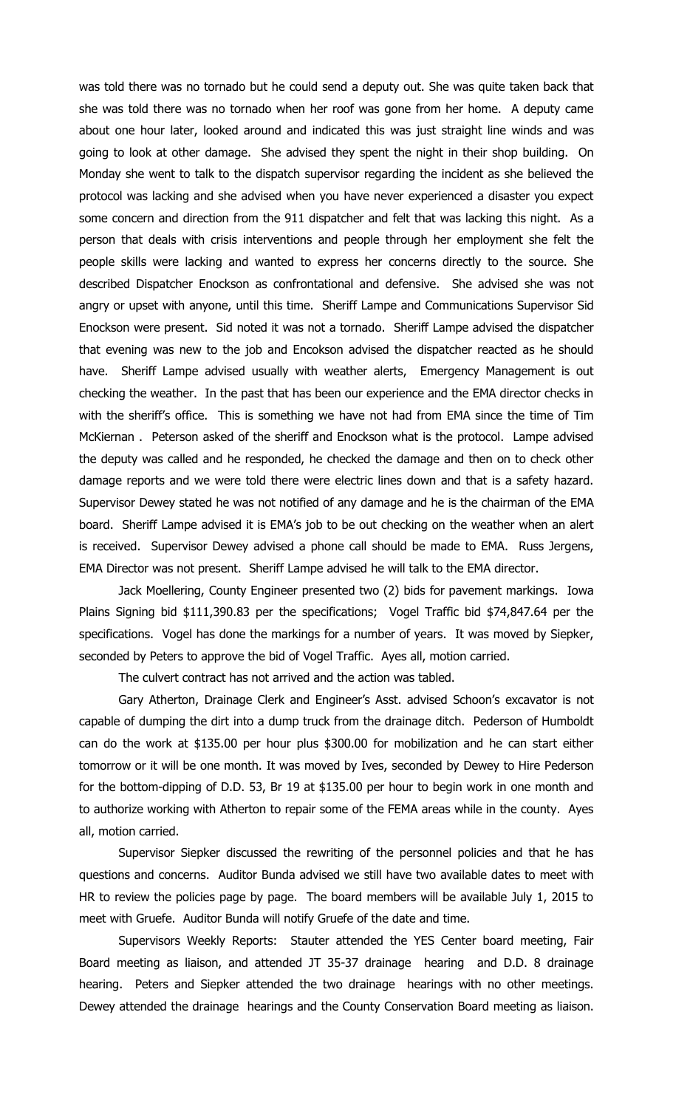was told there was no tornado but he could send a deputy out. She was quite taken back that she was told there was no tornado when her roof was gone from her home. A deputy came about one hour later, looked around and indicated this was just straight line winds and was going to look at other damage. She advised they spent the night in their shop building. On Monday she went to talk to the dispatch supervisor regarding the incident as she believed the protocol was lacking and she advised when you have never experienced a disaster you expect some concern and direction from the 911 dispatcher and felt that was lacking this night. As a person that deals with crisis interventions and people through her employment she felt the people skills were lacking and wanted to express her concerns directly to the source. She described Dispatcher Enockson as confrontational and defensive. She advised she was not angry or upset with anyone, until this time. Sheriff Lampe and Communications Supervisor Sid Enockson were present. Sid noted it was not a tornado. Sheriff Lampe advised the dispatcher that evening was new to the job and Encokson advised the dispatcher reacted as he should have. Sheriff Lampe advised usually with weather alerts, Emergency Management is out checking the weather. In the past that has been our experience and the EMA director checks in with the sheriff's office. This is something we have not had from EMA since the time of Tim McKiernan . Peterson asked of the sheriff and Enockson what is the protocol. Lampe advised the deputy was called and he responded, he checked the damage and then on to check other damage reports and we were told there were electric lines down and that is a safety hazard. Supervisor Dewey stated he was not notified of any damage and he is the chairman of the EMA board. Sheriff Lampe advised it is EMA's job to be out checking on the weather when an alert is received. Supervisor Dewey advised a phone call should be made to EMA. Russ Jergens, EMA Director was not present. Sheriff Lampe advised he will talk to the EMA director.

Jack Moellering, County Engineer presented two (2) bids for pavement markings. Iowa Plains Signing bid \$111,390.83 per the specifications; Vogel Traffic bid \$74,847.64 per the specifications. Vogel has done the markings for a number of years. It was moved by Siepker, seconded by Peters to approve the bid of Vogel Traffic. Ayes all, motion carried.

The culvert contract has not arrived and the action was tabled.

Gary Atherton, Drainage Clerk and Engineer's Asst. advised Schoon's excavator is not capable of dumping the dirt into a dump truck from the drainage ditch. Pederson of Humboldt can do the work at \$135.00 per hour plus \$300.00 for mobilization and he can start either tomorrow or it will be one month. It was moved by Ives, seconded by Dewey to Hire Pederson for the bottom-dipping of D.D. 53, Br 19 at \$135.00 per hour to begin work in one month and to authorize working with Atherton to repair some of the FEMA areas while in the county. Ayes all, motion carried.

Supervisor Siepker discussed the rewriting of the personnel policies and that he has questions and concerns. Auditor Bunda advised we still have two available dates to meet with HR to review the policies page by page. The board members will be available July 1, 2015 to meet with Gruefe. Auditor Bunda will notify Gruefe of the date and time.

Supervisors Weekly Reports: Stauter attended the YES Center board meeting, Fair Board meeting as liaison, and attended JT 35-37 drainage hearing and D.D. 8 drainage hearing. Peters and Siepker attended the two drainage hearings with no other meetings. Dewey attended the drainage hearings and the County Conservation Board meeting as liaison.